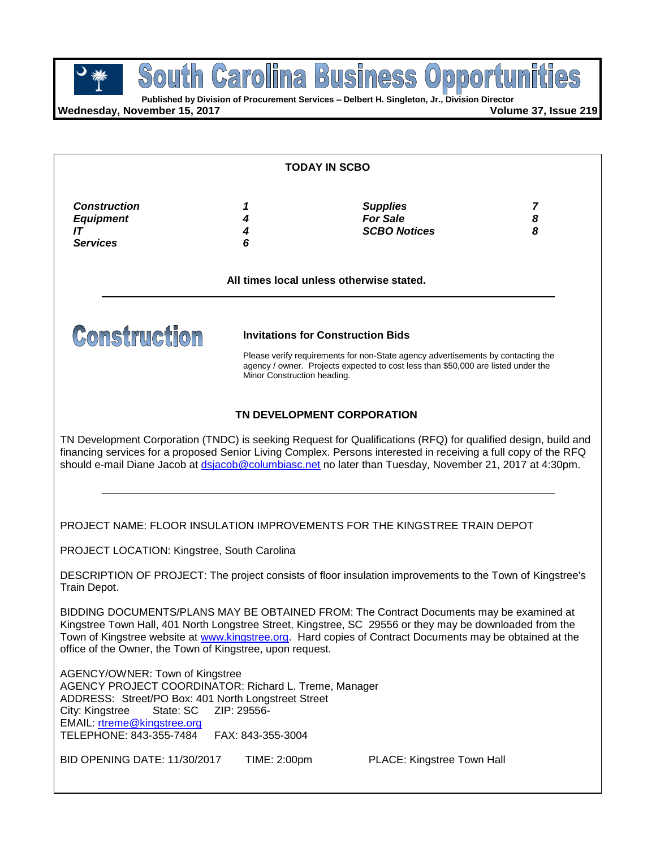**Published by Division of Procurement Services – Delbert H. Singleton, Jr., Division Director**

**Wednesday, November 15, 2017 Volume 37, Issue 219**

| <b>TODAY IN SCBO</b>                                                                                                                                                                                                                      |                                  |                                                                                                                                                                                                                                                                                                                                                                           |  |  |
|-------------------------------------------------------------------------------------------------------------------------------------------------------------------------------------------------------------------------------------------|----------------------------------|---------------------------------------------------------------------------------------------------------------------------------------------------------------------------------------------------------------------------------------------------------------------------------------------------------------------------------------------------------------------------|--|--|
|                                                                                                                                                                                                                                           |                                  |                                                                                                                                                                                                                                                                                                                                                                           |  |  |
|                                                                                                                                                                                                                                           |                                  | All times local unless otherwise stated.                                                                                                                                                                                                                                                                                                                                  |  |  |
| <b>Construction</b>                                                                                                                                                                                                                       | Minor Construction heading.      | <b>Invitations for Construction Bids</b><br>Please verify requirements for non-State agency advertisements by contacting the<br>agency / owner. Projects expected to cost less than \$50,000 are listed under the                                                                                                                                                         |  |  |
|                                                                                                                                                                                                                                           |                                  | TN DEVELOPMENT CORPORATION<br>TN Development Corporation (TNDC) is seeking Request for Qualifications (RFQ) for qualified design, build and<br>financing services for a proposed Senior Living Complex. Persons interested in receiving a full copy of the RFQ<br>should e-mail Diane Jacob at dsjacob@columbiasc.net no later than Tuesday, November 21, 2017 at 4:30pm. |  |  |
|                                                                                                                                                                                                                                           |                                  | PROJECT NAME: FLOOR INSULATION IMPROVEMENTS FOR THE KINGSTREE TRAIN DEPOT                                                                                                                                                                                                                                                                                                 |  |  |
| PROJECT LOCATION: Kingstree, South Carolina<br>Train Depot.                                                                                                                                                                               |                                  | DESCRIPTION OF PROJECT: The project consists of floor insulation improvements to the Town of Kingstree's                                                                                                                                                                                                                                                                  |  |  |
| office of the Owner, the Town of Kingstree, upon request.                                                                                                                                                                                 |                                  | BIDDING DOCUMENTS/PLANS MAY BE OBTAINED FROM: The Contract Documents may be examined at<br>Kingstree Town Hall, 401 North Longstree Street, Kingstree, SC 29556 or they may be downloaded from the<br>Town of Kingstree website at www.kingstree.org. Hard copies of Contract Documents may be obtained at the                                                            |  |  |
| AGENCY/OWNER: Town of Kingstree<br>AGENCY PROJECT COORDINATOR: Richard L. Treme, Manager<br>ADDRESS: Street/PO Box: 401 North Longstreet Street<br>City: Kingstree<br>State: SC<br>EMAIL: rtreme@kingstree.org<br>TELEPHONE: 843-355-7484 | ZIP: 29556-<br>FAX: 843-355-3004 |                                                                                                                                                                                                                                                                                                                                                                           |  |  |
| BID OPENING DATE: 11/30/2017                                                                                                                                                                                                              | TIME: 2:00pm                     | PLACE: Kingstree Town Hall                                                                                                                                                                                                                                                                                                                                                |  |  |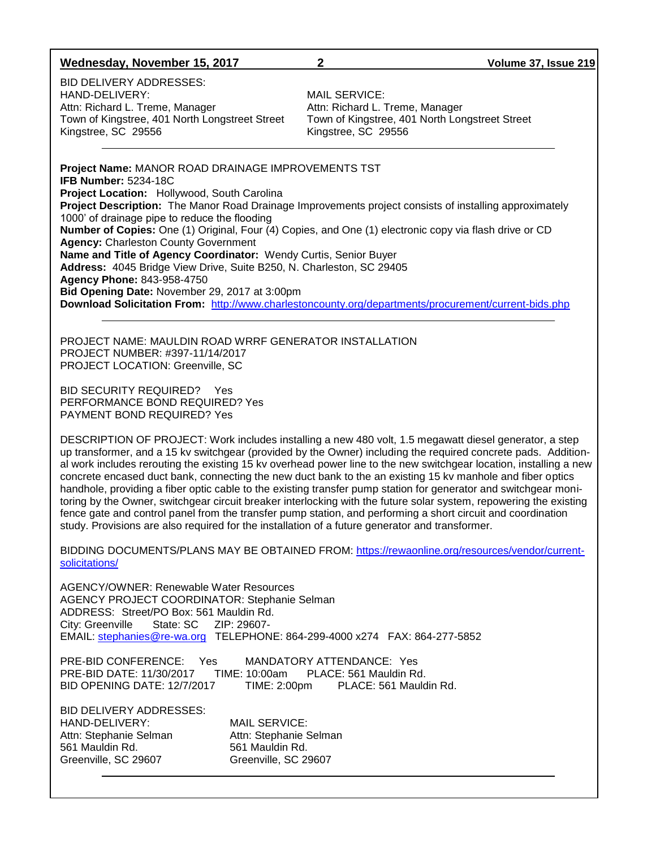#### **Wednesday, November 15, 2017 2 Volume 37, Issue 219**

BID DELIVERY ADDRESSES: HAND-DELIVERY:<br>Attn: Richard L. Treme, Manager **Manual Station Attn: Richard L. Treme**, Manager Attn: Richard L. Treme, Manager Kingstree, SC 29556 Kingstree, SC 29556

Town of Kingstree, 401 North Longstreet Street Town of Kingstree, 401 North Longstreet Street

**Project Name:** MANOR ROAD DRAINAGE IMPROVEMENTS TST **IFB Number:** 5234-18C **Project Location:** Hollywood, South Carolina **Project Description:** The Manor Road Drainage Improvements project consists of installing approximately 1000' of drainage pipe to reduce the flooding **Number of Copies:** One (1) Original, Four (4) Copies, and One (1) electronic copy via flash drive or CD **Agency:** Charleston County Government **Name and Title of Agency Coordinator:** Wendy Curtis, Senior Buyer **Address:** 4045 Bridge View Drive, Suite B250, N. Charleston, SC 29405 **Agency Phone:** 843-958-4750 **Bid Opening Date:** November 29, 2017 at 3:00pm **Download Solicitation From:** <http://www.charlestoncounty.org/departments/procurement/current-bids.php>

PROJECT NAME: MAULDIN ROAD WRRF GENERATOR INSTALLATION PROJECT NUMBER: #397-11/14/2017 PROJECT LOCATION: Greenville, SC

BID SECURITY REQUIRED? Yes PERFORMANCE BOND REQUIRED? Yes PAYMENT BOND REQUIRED? Yes

DESCRIPTION OF PROJECT: Work includes installing a new 480 volt, 1.5 megawatt diesel generator, a step up transformer, and a 15 kv switchgear (provided by the Owner) including the required concrete pads. Additional work includes rerouting the existing 15 kv overhead power line to the new switchgear location, installing a new concrete encased duct bank, connecting the new duct bank to the an existing 15 kv manhole and fiber optics handhole, providing a fiber optic cable to the existing transfer pump station for generator and switchgear monitoring by the Owner, switchgear circuit breaker interlocking with the future solar system, repowering the existing fence gate and control panel from the transfer pump station, and performing a short circuit and coordination study. Provisions are also required for the installation of a future generator and transformer.

BIDDING DOCUMENTS/PLANS MAY BE OBTAINED FROM: [https://rewaonline.org/resources/vendor/current](https://rewaonline.org/resources/vendor/current-solicitations/)[solicitations/](https://rewaonline.org/resources/vendor/current-solicitations/)

AGENCY/OWNER: Renewable Water Resources AGENCY PROJECT COORDINATOR: Stephanie Selman ADDRESS: Street/PO Box: 561 Mauldin Rd. City: Greenville State: SC ZIP: 29607- EMAIL: [stephanies@re-wa.org](mailto:stephanies@re-wa.org) TELEPHONE: 864-299-4000 x274 FAX: 864-277-5852

PRE-BID CONFERENCE: Yes MANDATORY ATTENDANCE: Yes PRE-BID DATE: 11/30/2017 TIME: 10:00am PLACE: 561 Mauldin Rd. BID OPENING DATE: 12/7/2017 TIME: 2:00pm PLACE: 561 Mauldin Rd.

BID DELIVERY ADDRESSES: HAND-DELIVERY: MAIL SERVICE: Attn: Stephanie Selman Attn: Stephanie Selman 561 Mauldin Rd. 561 Mauldin Rd. Greenville, SC 29607 Greenville, SC 29607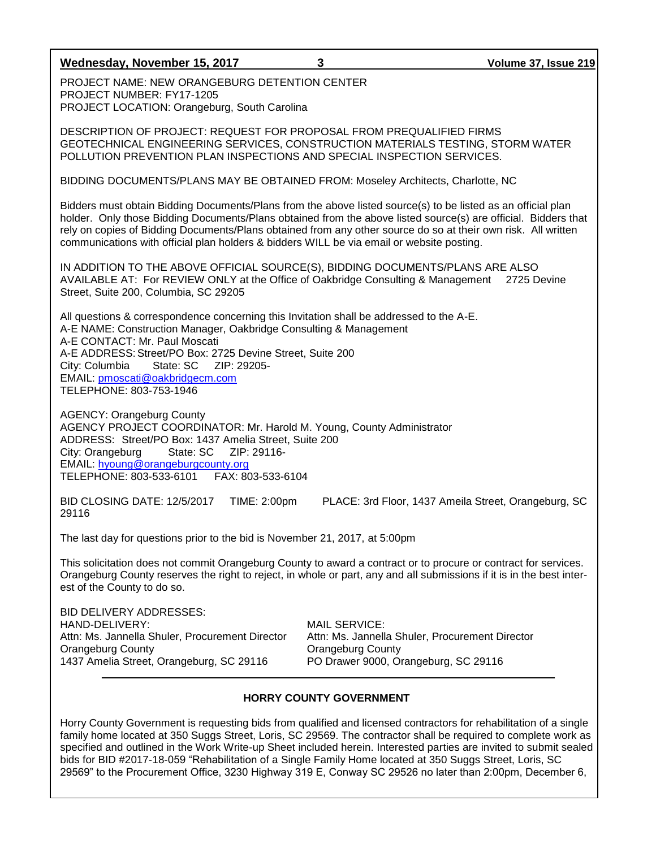#### **Wednesday, November 15, 2017 3 Volume 37, Issue 219**

PROJECT NAME: NEW ORANGEBURG DETENTION CENTER PROJECT NUMBER: FY17-1205 PROJECT LOCATION: Orangeburg, South Carolina

DESCRIPTION OF PROJECT: REQUEST FOR PROPOSAL FROM PREQUALIFIED FIRMS GEOTECHNICAL ENGINEERING SERVICES, CONSTRUCTION MATERIALS TESTING, STORM WATER POLLUTION PREVENTION PLAN INSPECTIONS AND SPECIAL INSPECTION SERVICES.

BIDDING DOCUMENTS/PLANS MAY BE OBTAINED FROM: Moseley Architects, Charlotte, NC

Bidders must obtain Bidding Documents/Plans from the above listed source(s) to be listed as an official plan holder. Only those Bidding Documents/Plans obtained from the above listed source(s) are official. Bidders that rely on copies of Bidding Documents/Plans obtained from any other source do so at their own risk. All written communications with official plan holders & bidders WILL be via email or website posting.

IN ADDITION TO THE ABOVE OFFICIAL SOURCE(S), BIDDING DOCUMENTS/PLANS ARE ALSO AVAILABLE AT: For REVIEW ONLY at the Office of Oakbridge Consulting & Management 2725 Devine Street, Suite 200, Columbia, SC 29205

All questions & correspondence concerning this Invitation shall be addressed to the A-E. A-E NAME: Construction Manager, Oakbridge Consulting & Management A-E CONTACT: Mr. Paul Moscati A-E ADDRESS: Street/PO Box: 2725 Devine Street, Suite 200 City: Columbia State: SC ZIP: 29205- EMAIL: [pmoscati@oakbridgecm.com](mailto:pmoscati@oakbridgecm.com) TELEPHONE: 803-753-1946

AGENCY: Orangeburg County AGENCY PROJECT COORDINATOR: Mr. Harold M. Young, County Administrator ADDRESS: Street/PO Box: 1437 Amelia Street, Suite 200 City: Orangeburg State: SC ZIP: 29116- EMAIL: [hyoung@orangeburgcounty.org](mailto:hyoung@orangeburgcounty.org) TELEPHONE: 803-533-6101 FAX: 803-533-6104

BID CLOSING DATE: 12/5/2017 TIME: 2:00pm PLACE: 3rd Floor, 1437 Ameila Street, Orangeburg, SC 29116

The last day for questions prior to the bid is November 21, 2017, at 5:00pm

This solicitation does not commit Orangeburg County to award a contract or to procure or contract for services. Orangeburg County reserves the right to reject, in whole or part, any and all submissions if it is in the best interest of the County to do so.

BID DELIVERY ADDRESSES: HAND-DELIVERY: MAIL SERVICE: Orangeburg County Orangeburg County 1437 Amelia Street, Orangeburg, SC 29116 PO Drawer 9000, Orangeburg, SC 29116

Attn: Ms. Jannella Shuler, Procurement Director Attn: Ms. Jannella Shuler, Procurement Director

## **HORRY COUNTY GOVERNMENT**

Horry County Government is requesting bids from qualified and licensed contractors for rehabilitation of a single family home located at 350 Suggs Street, Loris, SC 29569. The contractor shall be required to complete work as specified and outlined in the Work Write-up Sheet included herein. Interested parties are invited to submit sealed bids for BID #2017-18-059 "Rehabilitation of a Single Family Home located at 350 Suggs Street, Loris, SC 29569" to the Procurement Office, 3230 Highway 319 E, Conway SC 29526 no later than 2:00pm, December 6,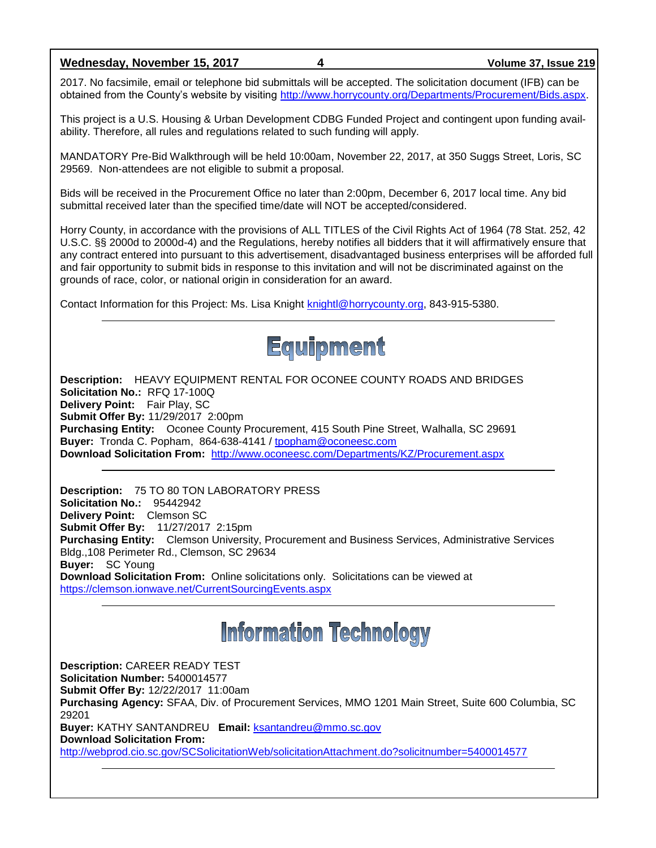**Wednesday, November 15, 2017 4 Volume 37, Issue 219**

2017. No facsimile, email or telephone bid submittals will be accepted. The solicitation document (IFB) can be obtained from the County's website by visiting [http://www.horrycounty.org/Departments/Procurement/Bids.aspx.](http://www.horrycounty.org/Departments/Procurement/Bids.aspx)

This project is a U.S. Housing & Urban Development CDBG Funded Project and contingent upon funding availability. Therefore, all rules and regulations related to such funding will apply.

MANDATORY Pre-Bid Walkthrough will be held 10:00am, November 22, 2017, at 350 Suggs Street, Loris, SC 29569. Non-attendees are not eligible to submit a proposal.

Bids will be received in the Procurement Office no later than 2:00pm, December 6, 2017 local time. Any bid submittal received later than the specified time/date will NOT be accepted/considered.

Horry County, in accordance with the provisions of ALL TITLES of the Civil Rights Act of 1964 (78 Stat. 252, 42 U.S.C. §§ 2000d to 2000d-4) and the Regulations, hereby notifies all bidders that it will affirmatively ensure that any contract entered into pursuant to this advertisement, disadvantaged business enterprises will be afforded full and fair opportunity to submit bids in response to this invitation and will not be discriminated against on the grounds of race, color, or national origin in consideration for an award.

Contact Information for this Project: Ms. Lisa Knight [knightl@horrycounty.org,](mailto:knightl@horrycounty.org) 843-915-5380.



**Description:** HEAVY EQUIPMENT RENTAL FOR OCONEE COUNTY ROADS AND BRIDGES **Solicitation No.:** RFQ 17-100Q **Delivery Point:** Fair Play, SC **Submit Offer By:** 11/29/2017 2:00pm **Purchasing Entity:** Oconee County Procurement, 415 South Pine Street, Walhalla, SC 29691 **Buyer:** Tronda C. Popham, 864-638-4141 / [tpopham@oconeesc.com](mailto:tpopham@oconeesc.com) **Download Solicitation From:** <http://www.oconeesc.com/Departments/KZ/Procurement.aspx>

**Description:** 75 TO 80 TON LABORATORY PRESS **Solicitation No.:** 95442942 **Delivery Point:** Clemson SC **Submit Offer By:** 11/27/2017 2:15pm **Purchasing Entity:** Clemson University, Procurement and Business Services, Administrative Services Bldg.,108 Perimeter Rd., Clemson, SC 29634 **Buyer:** SC Young **Download Solicitation From:** Online solicitations only. Solicitations can be viewed at <https://clemson.ionwave.net/CurrentSourcingEvents.aspx>

# **Information Technology**

**Description:** CAREER READY TEST **Solicitation Number:** 5400014577 **Submit Offer By:** 12/22/2017 11:00am **Purchasing Agency:** SFAA, Div. of Procurement Services, MMO 1201 Main Street, Suite 600 Columbia, SC 29201 **Buyer:** KATHY SANTANDREU **Email:** [ksantandreu@mmo.sc.gov](mailto:ksantandreu@mmo.sc.gov) **Download Solicitation From:**  <http://webprod.cio.sc.gov/SCSolicitationWeb/solicitationAttachment.do?solicitnumber=5400014577>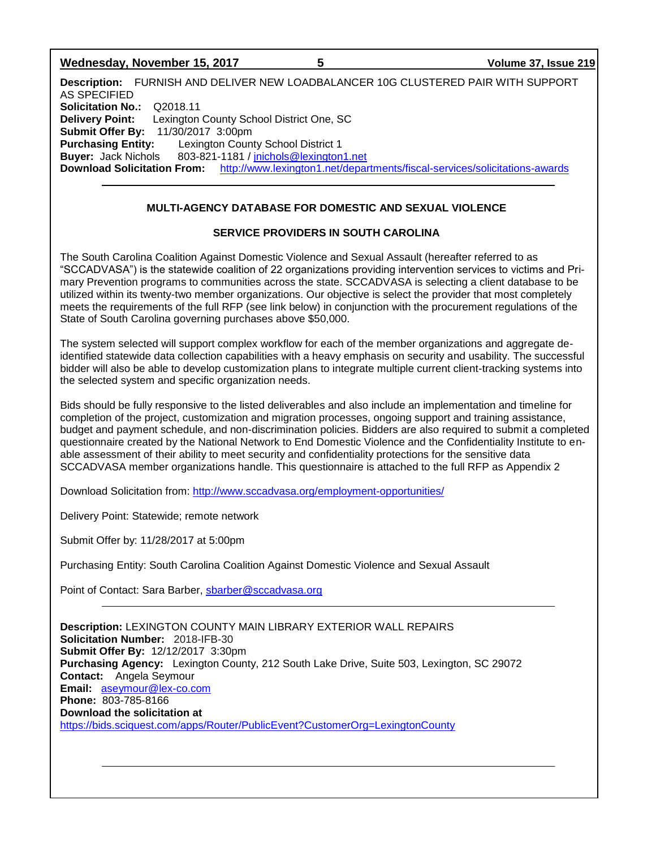| Wednesday, November 15, 2017 |  |
|------------------------------|--|
|------------------------------|--|

**Description:** FURNISH AND DELIVER NEW LOADBALANCER 10G CLUSTERED PAIR WITH SUPPORT AS SPECIFIED **Solicitation No.:** Q2018.11 **Delivery Point:** Lexington County School District One, SC **Submit Offer By:** 11/30/2017 3:00pm **Purchasing Entity:** Lexington County School District 1 **Buyer:** Jack Nichols 803-821-1181 / [jnichols@lexington1.net](mailto:jnichols@lexington1.net) **Download Solicitation From:** <http://www.lexington1.net/departments/fiscal-services/solicitations-awards>

**Wednesday, November 15, 2017 5 Volume 37, Issue 219**

# **MULTI-AGENCY DATABASE FOR DOMESTIC AND SEXUAL VIOLENCE**

# **SERVICE PROVIDERS IN SOUTH CAROLINA**

The South Carolina Coalition Against Domestic Violence and Sexual Assault (hereafter referred to as "SCCADVASA") is the statewide coalition of 22 organizations providing intervention services to victims and Primary Prevention programs to communities across the state. SCCADVASA is selecting a client database to be utilized within its twenty-two member organizations. Our objective is select the provider that most completely meets the requirements of the full RFP (see link below) in conjunction with the procurement regulations of the State of South Carolina governing purchases above \$50,000.

The system selected will support complex workflow for each of the member organizations and aggregate deidentified statewide data collection capabilities with a heavy emphasis on security and usability. The successful bidder will also be able to develop customization plans to integrate multiple current client-tracking systems into the selected system and specific organization needs.

Bids should be fully responsive to the listed deliverables and also include an implementation and timeline for completion of the project, customization and migration processes, ongoing support and training assistance, budget and payment schedule, and non-discrimination policies. Bidders are also required to submit a completed questionnaire created by the National Network to End Domestic Violence and the Confidentiality Institute to enable assessment of their ability to meet security and confidentiality protections for the sensitive data SCCADVASA member organizations handle. This questionnaire is attached to the full RFP as Appendix 2

Download Solicitation from:<http://www.sccadvasa.org/employment-opportunities/>

Delivery Point: Statewide; remote network

Submit Offer by: 11/28/2017 at 5:00pm

Purchasing Entity: South Carolina Coalition Against Domestic Violence and Sexual Assault

Point of Contact: Sara Barber, [sbarber@sccadvasa.org](mailto:sbarber@sccadvasa.org)

**Description:** LEXINGTON COUNTY MAIN LIBRARY EXTERIOR WALL REPAIRS **Solicitation Number:** 2018-IFB-30 **Submit Offer By:** 12/12/2017 3:30pm **Purchasing Agency:** Lexington County, 212 South Lake Drive, Suite 503, Lexington, SC 29072 **Contact:** Angela Seymour **Email:** [aseymour@lex-co.com](mailto:aseymour@lex-co.com) **Phone:** 803-785-8166 **Download the solicitation at**  <https://bids.sciquest.com/apps/Router/PublicEvent?CustomerOrg=LexingtonCounty>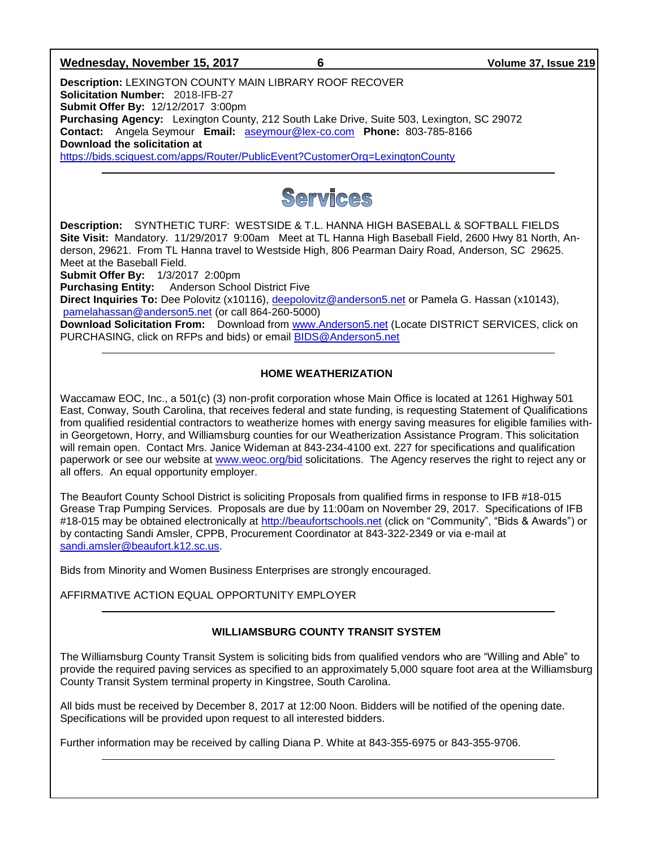#### **Wednesday, November 15, 2017 6 Volume 37, Issue 219**

**Description:** LEXINGTON COUNTY MAIN LIBRARY ROOF RECOVER **Solicitation Number:** 2018-IFB-27 **Submit Offer By:** 12/12/2017 3:00pm **Purchasing Agency:** Lexington County, 212 South Lake Drive, Suite 503, Lexington, SC 29072 **Contact:** Angela Seymour **Email:** [aseymour@lex-co.com](mailto:aseymour@lex-co.com) **Phone:** 803-785-8166 **Download the solicitation at** 

<https://bids.sciquest.com/apps/Router/PublicEvent?CustomerOrg=LexingtonCounty>



**Description:** SYNTHETIC TURF: WESTSIDE & T.L. HANNA HIGH BASEBALL & SOFTBALL FIELDS **Site Visit:** Mandatory. 11/29/2017 9:00am Meet at TL Hanna High Baseball Field, 2600 Hwy 81 North, Anderson, 29621. From TL Hanna travel to Westside High, 806 Pearman Dairy Road, Anderson, SC 29625. Meet at the Baseball Field.

**Submit Offer By:** 1/3/2017 2:00pm

**Purchasing Entity:** Anderson School District Five

**Direct Inquiries To:** Dee Polovitz (x10116), [deepolovitz@anderson5.net](mailto:deepolovitz@anderson5.net) or Pamela G. Hassan (x10143), [pamelahassan@anderson5.net](mailto:pamelahassan@anderson5.net) (or call 864-260-5000)

**Download Solicitation From:** Download from [www.Anderson5.net](http://www.anderson5.net/) (Locate DISTRICT SERVICES, click on PURCHASING, click on RFPs and bids) or email [BIDS@Anderson5.net](mailto:BIDS@Anderson5.net)

#### **HOME WEATHERIZATION**

Waccamaw EOC, Inc., a 501(c) (3) non-profit corporation whose Main Office is located at 1261 Highway 501 East, Conway, South Carolina, that receives federal and state funding, is requesting Statement of Qualifications from qualified residential contractors to weatherize homes with energy saving measures for eligible families within Georgetown, Horry, and Williamsburg counties for our Weatherization Assistance Program. This solicitation will remain open. Contact Mrs. Janice Wideman at 843-234-4100 ext. 227 for specifications and qualification paperwork or see our website at [www.weoc.org/bid](http://www.weoc.org/bid) solicitations. The Agency reserves the right to reject any or all offers. An equal opportunity employer.

The Beaufort County School District is soliciting Proposals from qualified firms in response to IFB #18-015 Grease Trap Pumping Services. Proposals are due by 11:00am on November 29, 2017. Specifications of IFB #18-015 may be obtained electronically at [http://beaufortschools.net](http://beaufortschools.net/) (click on "Community", "Bids & Awards") or by contacting Sandi Amsler, CPPB, Procurement Coordinator at 843-322-2349 or via e-mail at [sandi.amsler@beaufort.k12.sc.us.](mailto:sandi.amsler@beaufort.k12.sc.us)

Bids from Minority and Women Business Enterprises are strongly encouraged.

AFFIRMATIVE ACTION EQUAL OPPORTUNITY EMPLOYER

## **WILLIAMSBURG COUNTY TRANSIT SYSTEM**

The Williamsburg County Transit System is soliciting bids from qualified vendors who are "Willing and Able" to provide the required paving services as specified to an approximately 5,000 square foot area at the Williamsburg County Transit System terminal property in Kingstree, South Carolina.

All bids must be received by December 8, 2017 at 12:00 Noon. Bidders will be notified of the opening date. Specifications will be provided upon request to all interested bidders.

Further information may be received by calling Diana P. White at 843-355-6975 or 843-355-9706.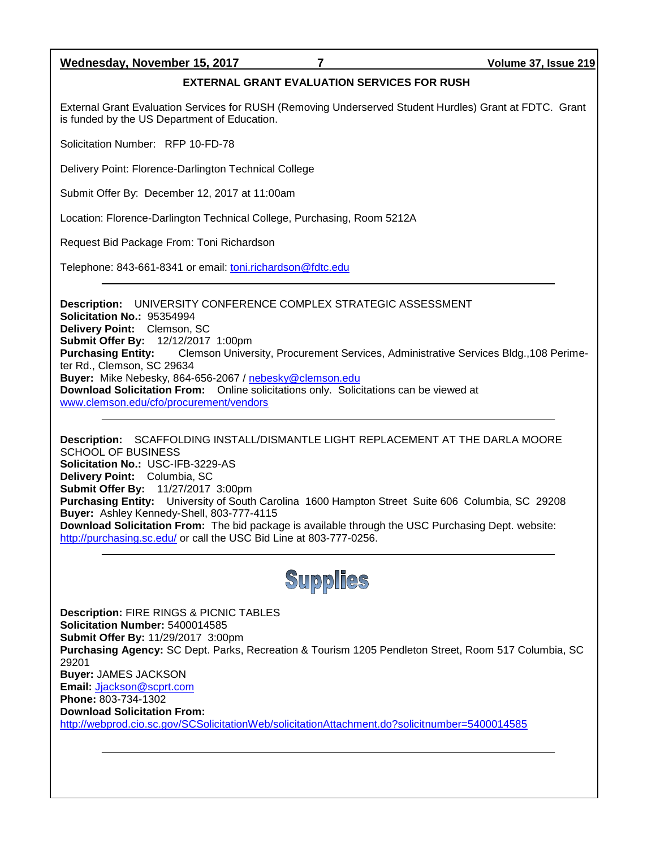## **Wednesday, November 15, 2017 7 Volume 37, Issue 219**

#### **EXTERNAL GRANT EVALUATION SERVICES FOR RUSH**

External Grant Evaluation Services for RUSH (Removing Underserved Student Hurdles) Grant at FDTC. Grant is funded by the US Department of Education.

Solicitation Number: RFP 10-FD-78

Delivery Point: Florence-Darlington Technical College

Submit Offer By: December 12, 2017 at 11:00am

Location: Florence-Darlington Technical College, Purchasing, Room 5212A

Request Bid Package From: Toni Richardson

Telephone: 843-661-8341 or email: *toni.richardson@fdtc.edu* 

**Description:** UNIVERSITY CONFERENCE COMPLEX STRATEGIC ASSESSMENT **Solicitation No.:** 95354994 **Delivery Point:** Clemson, SC **Submit Offer By:** 12/12/2017 1:00pm **Purchasing Entity:** Clemson University, Procurement Services, Administrative Services Bldg.,108 Perimeter Rd., Clemson, SC 29634 **Buyer:** Mike Nebesky, 864-656-2067 / [nebesky@clemson.edu](mailto:nebesky@clemson.edu) **Download Solicitation From:** Online solicitations only. Solicitations can be viewed at [www.clemson.edu/cfo/procurement/vendors](http://www.clemson.edu/cfo/procurement/vendors)

**Description:** SCAFFOLDING INSTALL/DISMANTLE LIGHT REPLACEMENT AT THE DARLA MOORE SCHOOL OF BUSINESS **Solicitation No.:** USC-IFB-3229-AS **Delivery Point:** Columbia, SC **Submit Offer By:** 11/27/2017 3:00pm **Purchasing Entity:** University of South Carolina 1600 Hampton Street Suite 606 Columbia, SC 29208 **Buyer:** Ashley Kennedy-Shell, 803-777-4115 **Download Solicitation From:** The bid package is available through the USC Purchasing Dept. website: <http://purchasing.sc.edu/> or call the USC Bid Line at 803-777-0256.



**Description:** FIRE RINGS & PICNIC TABLES **Solicitation Number:** 5400014585 **Submit Offer By:** 11/29/2017 3:00pm **Purchasing Agency:** SC Dept. Parks, Recreation & Tourism 1205 Pendleton Street, Room 517 Columbia, SC 29201 **Buyer:** JAMES JACKSON **Email:** [Jjackson@scprt.com](mailto:Jjackson@scprt.com) **Phone:** 803-734-1302 **Download Solicitation From:**  <http://webprod.cio.sc.gov/SCSolicitationWeb/solicitationAttachment.do?solicitnumber=5400014585>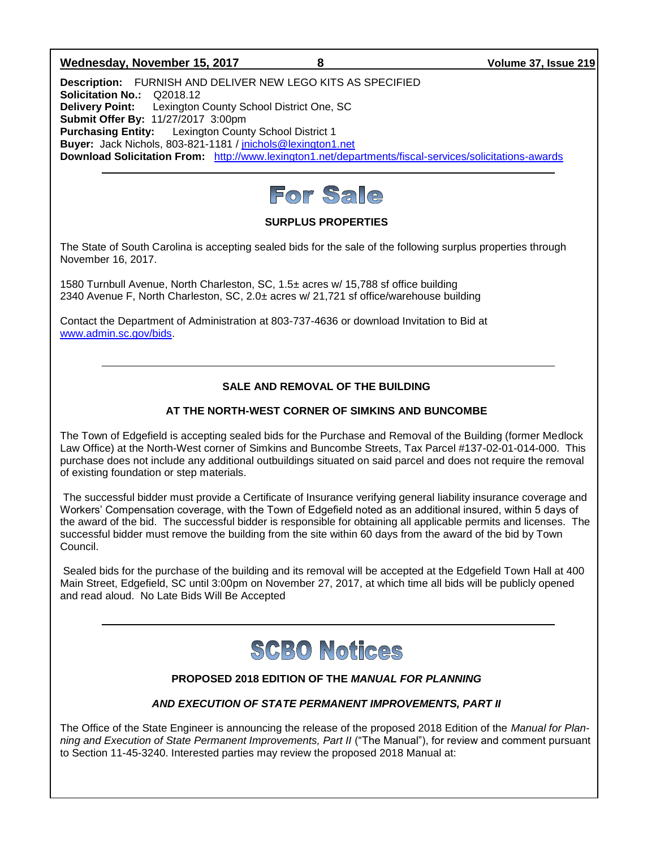#### **Wednesday, November 15, 2017 8 Volume 37, Issue 219**

**Description:** FURNISH AND DELIVER NEW LEGO KITS AS SPECIFIED **Solicitation No.:** Q2018.12 **Delivery Point:** Lexington County School District One, SC **Submit Offer By:** 11/27/2017 3:00pm **Purchasing Entity:** Lexington County School District 1 **Buyer:** Jack Nichols, 803-821-1181 / [jnichols@lexington1.net](mailto:jnichols@lexington1.net) **Download Solicitation From:** <http://www.lexington1.net/departments/fiscal-services/solicitations-awards>



## **SURPLUS PROPERTIES**

The State of South Carolina is accepting sealed bids for the sale of the following surplus properties through November 16, 2017.

1580 Turnbull Avenue, North Charleston, SC, 1.5± acres w/ 15,788 sf office building 2340 Avenue F, North Charleston, SC, 2.0± acres w/ 21,721 sf office/warehouse building

Contact the Department of Administration at 803-737-4636 or download Invitation to Bid at [www.admin.sc.gov/bids.](http://www.admin.sc.gov/bids)

# **SALE AND REMOVAL OF THE BUILDING**

## **AT THE NORTH-WEST CORNER OF SIMKINS AND BUNCOMBE**

The Town of Edgefield is accepting sealed bids for the Purchase and Removal of the Building (former Medlock Law Office) at the North-West corner of Simkins and Buncombe Streets, Tax Parcel #137-02-01-014-000. This purchase does not include any additional outbuildings situated on said parcel and does not require the removal of existing foundation or step materials.

The successful bidder must provide a Certificate of Insurance verifying general liability insurance coverage and Workers' Compensation coverage, with the Town of Edgefield noted as an additional insured, within 5 days of the award of the bid. The successful bidder is responsible for obtaining all applicable permits and licenses. The successful bidder must remove the building from the site within 60 days from the award of the bid by Town Council.

Sealed bids for the purchase of the building and its removal will be accepted at the Edgefield Town Hall at 400 Main Street, Edgefield, SC until 3:00pm on November 27, 2017, at which time all bids will be publicly opened and read aloud. No Late Bids Will Be Accepted



## **PROPOSED 2018 EDITION OF THE** *MANUAL FOR PLANNING*

## *AND EXECUTION OF STATE PERMANENT IMPROVEMENTS, PART II*

The Office of the State Engineer is announcing the release of the proposed 2018 Edition of the *Manual for Planning and Execution of State Permanent Improvements, Part II* ("The Manual"), for review and comment pursuant to Section 11-45-3240. Interested parties may review the proposed 2018 Manual at: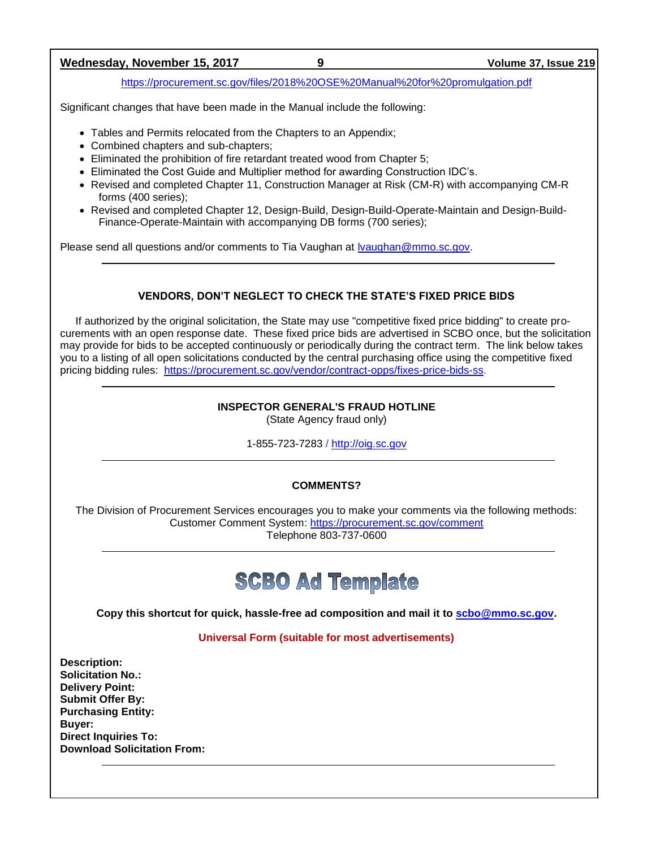## **Wednesday, November 15, 2017 9 Volume 37, Issue 219**

<https://procurement.sc.gov/files/2018%20OSE%20Manual%20for%20promulgation.pdf>

Significant changes that have been made in the Manual include the following:

- Tables and Permits relocated from the Chapters to an Appendix;
- Combined chapters and sub-chapters;
- Eliminated the prohibition of fire retardant treated wood from Chapter 5;
- Eliminated the Cost Guide and Multiplier method for awarding Construction IDC's.
- Revised and completed Chapter 11, Construction Manager at Risk (CM-R) with accompanying CM-R forms (400 series);
- Revised and completed Chapter 12, Design-Build, Design-Build-Operate-Maintain and Design-Build-Finance-Operate-Maintain with accompanying DB forms (700 series);

Please send all questions and/or comments to Tia Vaughan at **Ivaughan@mmo.sc.gov.** 

# **VENDORS, DON'T NEGLECT TO CHECK THE STATE'S FIXED PRICE BIDS**

If authorized by the original solicitation, the State may use "competitive fixed price bidding" to create procurements with an open response date. These fixed price bids are advertised in SCBO once, but the solicitation may provide for bids to be accepted continuously or periodically during the contract term. The link below takes you to a listing of all open solicitations conducted by the central purchasing office using the competitive fixed pricing bidding rules: [https://procurement.sc.gov/vendor/contract-opps/fixes-price-bids-ss.](https://procurement.sc.gov/vendor/contract-opps/fixes-price-bids-ss)

# **INSPECTOR GENERAL'S FRAUD HOTLINE**

(State Agency fraud only)

1-855-723-7283 / [http://oig.sc.gov](http://oig.sc.gov/)

# **COMMENTS?**

The Division of Procurement Services encourages you to make your comments via the following methods: Customer Comment System:<https://procurement.sc.gov/comment> Telephone 803-737-0600



**Copy this shortcut for quick, hassle-free ad composition and mail it to [scbo@mmo.sc.gov.](mailto:scbo@mmo.sc.gov)** 

**Universal Form (suitable for most advertisements)**

**Description: Solicitation No.: Delivery Point: Submit Offer By: Purchasing Entity: Buyer: Direct Inquiries To: Download Solicitation From:**